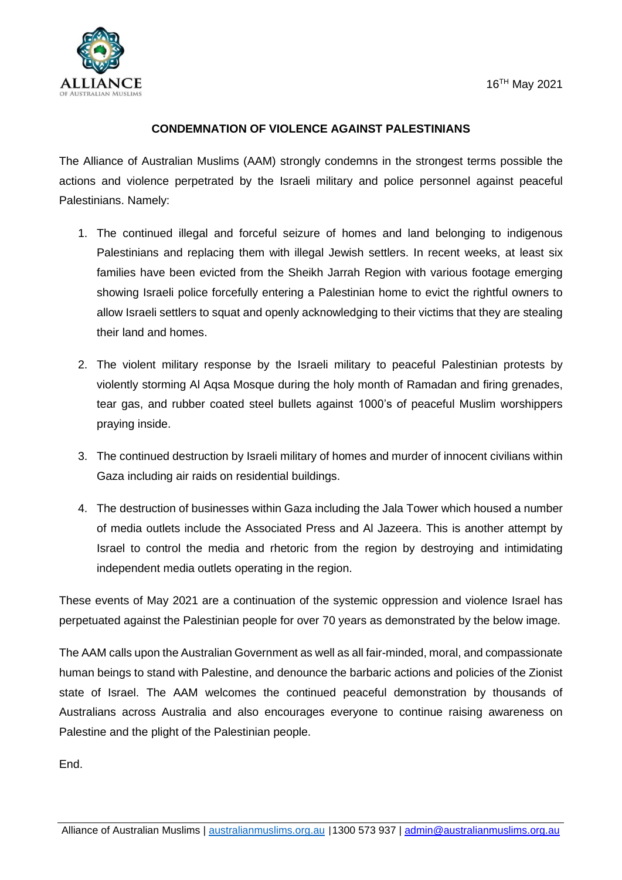

## **CONDEMNATION OF VIOLENCE AGAINST PALESTINIANS**

The Alliance of Australian Muslims (AAM) strongly condemns in the strongest terms possible the actions and violence perpetrated by the Israeli military and police personnel against peaceful Palestinians. Namely:

- 1. The continued illegal and forceful seizure of homes and land belonging to indigenous Palestinians and replacing them with illegal Jewish settlers. In recent weeks, at least six families have been evicted from the Sheikh Jarrah Region with various footage emerging showing Israeli police forcefully entering a Palestinian home to evict the rightful owners to allow Israeli settlers to squat and openly acknowledging to their victims that they are stealing their land and homes.
- 2. The violent military response by the Israeli military to peaceful Palestinian protests by violently storming Al Aqsa Mosque during the holy month of Ramadan and firing grenades, tear gas, and rubber coated steel bullets against 1000's of peaceful Muslim worshippers praying inside.
- 3. The continued destruction by Israeli military of homes and murder of innocent civilians within Gaza including air raids on residential buildings.
- 4. The destruction of businesses within Gaza including the Jala Tower which housed a number of media outlets include the Associated Press and Al Jazeera. This is another attempt by Israel to control the media and rhetoric from the region by destroying and intimidating independent media outlets operating in the region.

These events of May 2021 are a continuation of the systemic oppression and violence Israel has perpetuated against the Palestinian people for over 70 years as demonstrated by the below image.

The AAM calls upon the Australian Government as well as all fair-minded, moral, and compassionate human beings to stand with Palestine, and denounce the barbaric actions and policies of the Zionist state of Israel. The AAM welcomes the continued peaceful demonstration by thousands of Australians across Australia and also encourages everyone to continue raising awareness on Palestine and the plight of the Palestinian people.

End.